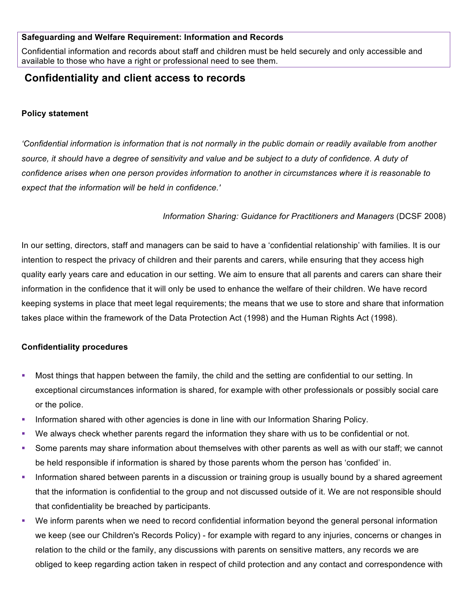#### **Safeguarding and Welfare Requirement: Information and Records**

Confidential information and records about staff and children must be held securely and only accessible and available to those who have a right or professional need to see them.

# **Confidentiality and client access to records**

## **Policy statement**

*'Confidential information is information that is not normally in the public domain or readily available from another source, it should have a degree of sensitivity and value and be subject to a duty of confidence. A duty of confidence arises when one person provides information to another in circumstances where it is reasonable to expect that the information will be held in confidence.'*

## *Information Sharing: Guidance for Practitioners and Managers* (DCSF 2008)

In our setting, directors, staff and managers can be said to have a 'confidential relationship' with families. It is our intention to respect the privacy of children and their parents and carers, while ensuring that they access high quality early years care and education in our setting. We aim to ensure that all parents and carers can share their information in the confidence that it will only be used to enhance the welfare of their children. We have record keeping systems in place that meet legal requirements; the means that we use to store and share that information takes place within the framework of the Data Protection Act (1998) and the Human Rights Act (1998).

### **Confidentiality procedures**

- § Most things that happen between the family, the child and the setting are confidential to our setting. In exceptional circumstances information is shared, for example with other professionals or possibly social care or the police.
- **Information shared with other agencies is done in line with our Information Sharing Policy.**
- We always check whether parents regard the information they share with us to be confidential or not.
- § Some parents may share information about themselves with other parents as well as with our staff; we cannot be held responsible if information is shared by those parents whom the person has 'confided' in.
- Information shared between parents in a discussion or training group is usually bound by a shared agreement that the information is confidential to the group and not discussed outside of it. We are not responsible should that confidentiality be breached by participants.
- We inform parents when we need to record confidential information beyond the general personal information we keep (see our Children's Records Policy) - for example with regard to any injuries, concerns or changes in relation to the child or the family, any discussions with parents on sensitive matters, any records we are obliged to keep regarding action taken in respect of child protection and any contact and correspondence with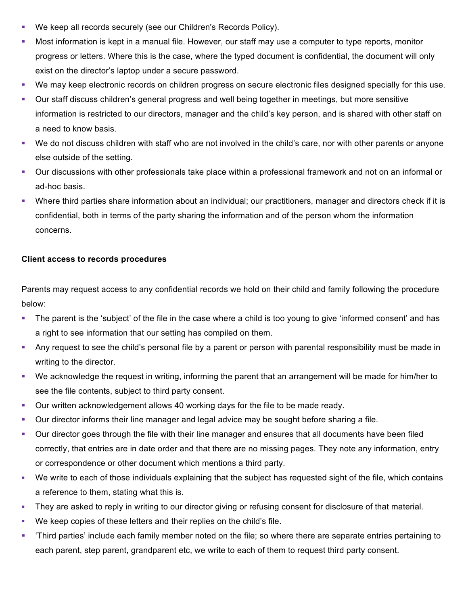- § We keep all records securely (see our Children's Records Policy).
- § Most information is kept in a manual file. However, our staff may use a computer to type reports, monitor progress or letters. Where this is the case, where the typed document is confidential, the document will only exist on the director's laptop under a secure password.
- § We may keep electronic records on children progress on secure electronic files designed specially for this use.
- Our staff discuss children's general progress and well being together in meetings, but more sensitive information is restricted to our directors, manager and the child's key person, and is shared with other staff on a need to know basis.
- § We do not discuss children with staff who are not involved in the child's care, nor with other parents or anyone else outside of the setting.
- Our discussions with other professionals take place within a professional framework and not on an informal or ad-hoc basis.
- Where third parties share information about an individual; our practitioners, manager and directors check if it is confidential, both in terms of the party sharing the information and of the person whom the information concerns.

## **Client access to records procedures**

Parents may request access to any confidential records we hold on their child and family following the procedure below:

- The parent is the 'subject' of the file in the case where a child is too young to give 'informed consent' and has a right to see information that our setting has compiled on them.
- Any request to see the child's personal file by a parent or person with parental responsibility must be made in writing to the director.
- § We acknowledge the request in writing, informing the parent that an arrangement will be made for him/her to see the file contents, subject to third party consent.
- Our written acknowledgement allows 40 working days for the file to be made ready.
- Our director informs their line manager and legal advice may be sought before sharing a file.
- Our director goes through the file with their line manager and ensures that all documents have been filed correctly, that entries are in date order and that there are no missing pages. They note any information, entry or correspondence or other document which mentions a third party.
- § We write to each of those individuals explaining that the subject has requested sight of the file, which contains a reference to them, stating what this is.
- They are asked to reply in writing to our director giving or refusing consent for disclosure of that material.
- § We keep copies of these letters and their replies on the child's file.
- § 'Third parties' include each family member noted on the file; so where there are separate entries pertaining to each parent, step parent, grandparent etc, we write to each of them to request third party consent.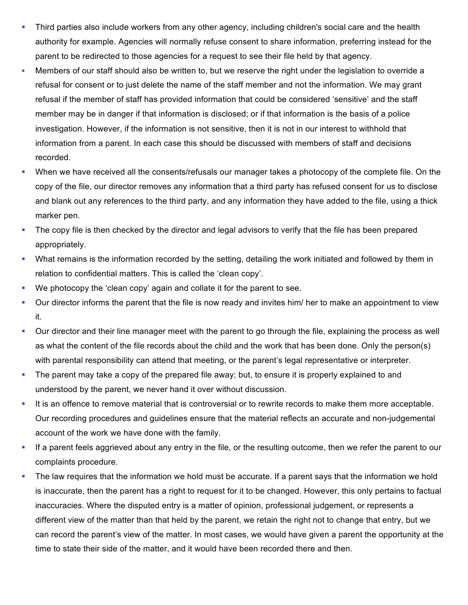- Third parties also include workers from any other agency, including children's social care and the health authority for example. Agencies will normally refuse consent to share information, preferring instead for the parent to be redirected to those agencies for a request to see their file held by that agency.
- § Members of our staff should also be written to, but we reserve the right under the legislation to override a refusal for consent or to just delete the name of the staff member and not the information. We may grant refusal if the member of staff has provided information that could be considered 'sensitive' and the staff member may be in danger if that information is disclosed; or if that information is the basis of a police investigation. However, if the information is not sensitive, then it is not in our interest to withhold that information from a parent. In each case this should be discussed with members of staff and decisions recorded.
- When we have received all the consents/refusals our manager takes a photocopy of the complete file. On the copy of the file, our director removes any information that a third party has refused consent for us to disclose and blank out any references to the third party, and any information they have added to the file, using a thick marker pen.
- The copy file is then checked by the director and legal advisors to verify that the file has been prepared appropriately.
- What remains is the information recorded by the setting, detailing the work initiated and followed by them in relation to confidential matters. This is called the 'clean copy'.
- § We photocopy the 'clean copy' again and collate it for the parent to see.
- Our director informs the parent that the file is now ready and invites him/ her to make an appointment to view it.
- Our director and their line manager meet with the parent to go through the file, explaining the process as well as what the content of the file records about the child and the work that has been done. Only the person(s) with parental responsibility can attend that meeting, or the parent's legal representative or interpreter.
- The parent may take a copy of the prepared file away; but, to ensure it is properly explained to and understood by the parent, we never hand it over without discussion.
- It is an offence to remove material that is controversial or to rewrite records to make them more acceptable. Our recording procedures and guidelines ensure that the material reflects an accurate and non-judgemental account of the work we have done with the family.
- § If a parent feels aggrieved about any entry in the file, or the resulting outcome, then we refer the parent to our complaints procedure.
- The law requires that the information we hold must be accurate. If a parent says that the information we hold is inaccurate, then the parent has a right to request for it to be changed. However, this only pertains to factual inaccuracies. Where the disputed entry is a matter of opinion, professional judgement, or represents a different view of the matter than that held by the parent, we retain the right not to change that entry, but we can record the parent's view of the matter. In most cases, we would have given a parent the opportunity at the time to state their side of the matter, and it would have been recorded there and then.